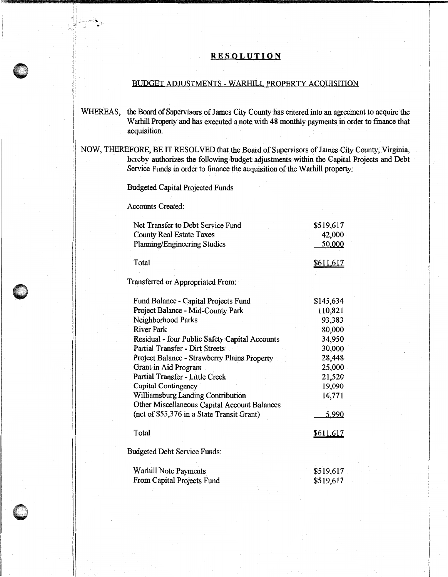## **RESOLUTION**

## BUDGET ADJUSTMENTS - WARHILL PROPERTY ACQUISITION

- WHEREAS, the Board of Supervisors of James City County has entered into an agreement to acquire the Warhill Property and has executed a note with 48 monthly payments in order to finance that acquisition.
- NOW, THEREFORE, BE IT RESOLVED that the Board of Supervisors of James City County, Virginia, hereby authorizes the following budget adjustments within the Capital Projects and Debt Service Funds in order to finance the acquisition of the Warhill property:

Budgeted Capital Projected Funds

Accounts Created:

,I'

| Net Transfer to Debt Service Fund<br><b>County Real Estate Taxes</b> | \$519,617<br>42,000 |
|----------------------------------------------------------------------|---------------------|
| <b>Planning/Engineering Studies</b>                                  | 50,000              |
| Total                                                                | <u>\$611,617</u>    |
| Transferred or Appropriated From:                                    |                     |
| Fund Balance - Capital Projects Fund                                 | \$145,634           |
| Project Balance - Mid-County Park                                    | 110,821             |
| Neighborhood Parks                                                   | 93,383              |
| <b>River Park</b>                                                    | 80,000              |
| Residual - four Public Safety Capital Accounts                       | 34,950              |
| <b>Partial Transfer - Dirt Streets</b>                               | 30,000              |
| Project Balance - Strawberry Plains Property                         | 28,448              |
| Grant in Aid Program                                                 | 25,000              |
| Partial Transfer - Little Creek                                      | 21,520              |
| Capital Contingency                                                  | 19,090              |
| <b>Williamsburg Landing Contribution</b>                             | 16,771              |
| Other Miscellaneous Capital Account Balances                         |                     |
| (net of \$53,376 in a State Transit Grant)                           | 5,990               |
| Total                                                                | <u>\$611,617</u>    |
| <b>Budgeted Debt Service Funds:</b>                                  |                     |
| <b>Warhill Note Payments</b>                                         | \$519,617           |
| From Capital Projects Fund                                           | \$519,617           |

 $\mathbf{I}$